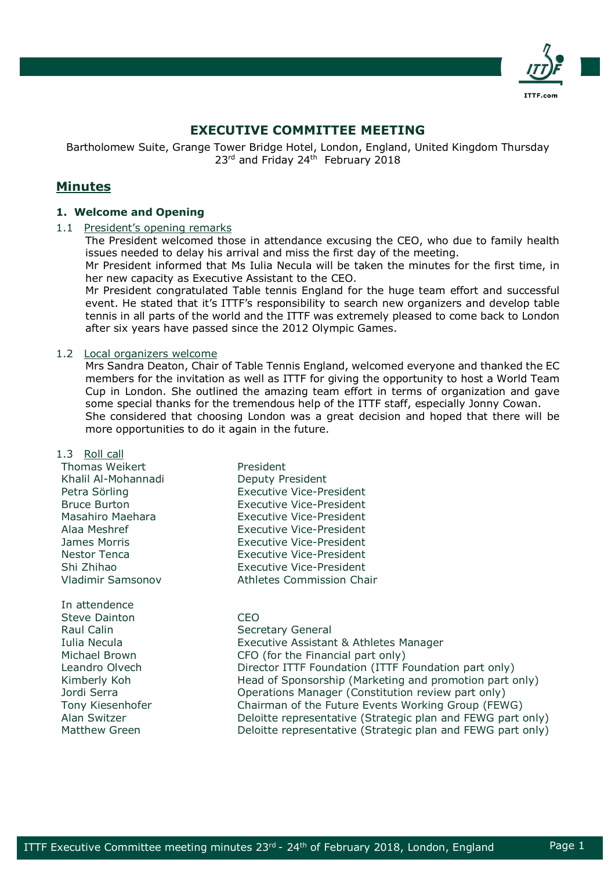

# **EXECUTIVE COMMITTEE MEETING**

Bartholomew Suite, Grange Tower Bridge Hotel, London, England, United Kingdom Thursday 23<sup>rd</sup> and Friday 24<sup>th</sup> February 2018

## **Minutes**

## **1. Welcome and Opening**

#### 1.1 President's opening remarks

The President welcomed those in attendance excusing the CEO, who due to family health issues needed to delay his arrival and miss the first day of the meeting.

Mr President informed that Ms Iulia Necula will be taken the minutes for the first time, in her new capacity as Executive Assistant to the CEO.

Mr President congratulated Table tennis England for the huge team effort and successful event. He stated that it's ITTF's responsibility to search new organizers and develop table tennis in all parts of the world and the ITTF was extremely pleased to come back to London after six years have passed since the 2012 Olympic Games.

#### 1.2 Local organizers welcome

Mrs Sandra Deaton, Chair of Table Tennis England, welcomed everyone and thanked the EC members for the invitation as well as ITTF for giving the opportunity to host a World Team Cup in London. She outlined the amazing team effort in terms of organization and gave some special thanks for the tremendous help of the ITTF staff, especially Jonny Cowan. She considered that choosing London was a great decision and hoped that there will be more opportunities to do it again in the future.

#### 1.3 Roll call

Thomas Weikert **President** Khalil Al-Mohannadi Deputy President Vladimir Samsonov Athletes Commission Chair

In attendence Steve Dainton CEO Raul Calin Secretary General

Petra Sörling **Executive Vice-President** Bruce Burton Executive Vice-President Masahiro Maehara Executive Vice-President Alaa Meshref Executive Vice-President James Morris Executive Vice-President Nestor Tenca Executive Vice-President Shi Zhihao Executive Vice-President

# Iulia Necula Executive Assistant & Athletes Manager Michael Brown CFO (for the Financial part only)

Leandro Olvech **Director ITTF Foundation (ITTF Foundation part only)** Kimberly Koh Head of Sponsorship (Marketing and promotion part only) Jordi Serra Operations Manager (Constitution review part only) Tony Kiesenhofer Chairman of the Future Events Working Group (FEWG) Alan Switzer **Deloitte representative (Strategic plan and FEWG part only)** Matthew Green **Deloitte representative (Strategic plan and FEWG part only)**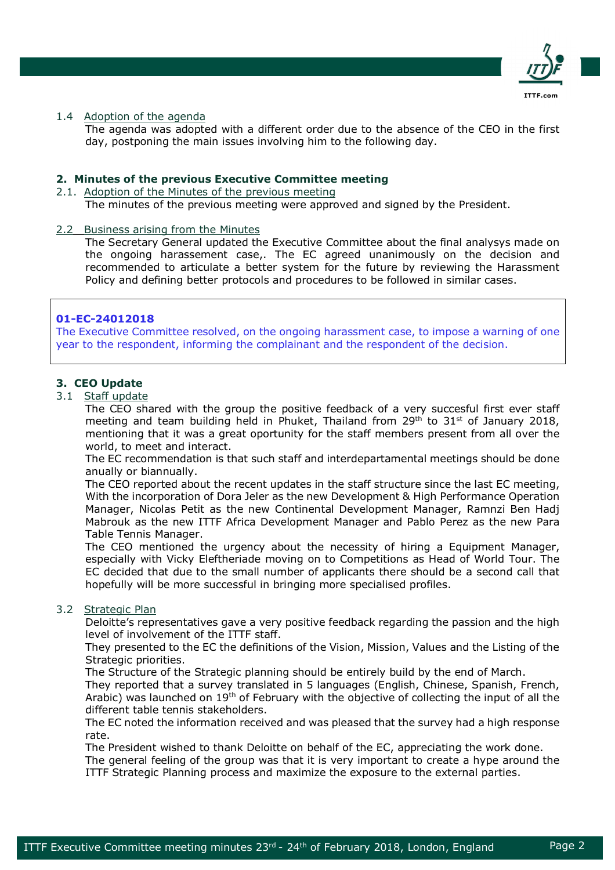

## 1.4 Adoption of the agenda

The agenda was adopted with a different order due to the absence of the CEO in the first day, postponing the main issues involving him to the following day.

#### **2. Minutes of the previous Executive Committee meeting**

2.1. Adoption of the Minutes of the previous meeting

The minutes of the previous meeting were approved and signed by the President.

#### 2.2 Business arising from the Minutes

The Secretary General updated the Executive Committee about the final analysys made on the ongoing harassement case,. The EC agreed unanimously on the decision and recommended to articulate a better system for the future by reviewing the Harassment Policy and defining better protocols and procedures to be followed in similar cases.

#### **01-EC-24012018**

The Executive Committee resolved, on the ongoing harassment case, to impose a warning of one year to the respondent, informing the complainant and the respondent of the decision.

## **3. CEO Update**

#### 3.1 Staff update

The CEO shared with the group the positive feedback of a very succesful first ever staff meeting and team building held in Phuket, Thailand from  $29<sup>th</sup>$  to  $31<sup>st</sup>$  of January 2018, mentioning that it was a great oportunity for the staff members present from all over the world, to meet and interact.

The EC recommendation is that such staff and interdepartamental meetings should be done anually or biannually.

The CEO reported about the recent updates in the staff structure since the last EC meeting, With the incorporation of Dora Jeler as the new Development & High Performance Operation Manager, Nicolas Petit as the new Continental Development Manager, Ramnzi Ben Hadj Mabrouk as the new ITTF Africa Development Manager and Pablo Perez as the new Para Table Tennis Manager.

The CEO mentioned the urgency about the necessity of hiring a Equipment Manager, especially with Vicky Eleftheriade moving on to Competitions as Head of World Tour. The EC decided that due to the small number of applicants there should be a second call that hopefully will be more successful in bringing more specialised profiles.

## 3.2 Strategic Plan

Deloitte's representatives gave a very positive feedback regarding the passion and the high level of involvement of the ITTF staff.

They presented to the EC the definitions of the Vision, Mission, Values and the Listing of the Strategic priorities.

The Structure of the Strategic planning should be entirely build by the end of March.

They reported that a survey translated in 5 languages (English, Chinese, Spanish, French, Arabic) was launched on 19<sup>th</sup> of February with the objective of collecting the input of all the different table tennis stakeholders.

The EC noted the information received and was pleased that the survey had a high response rate.

The President wished to thank Deloitte on behalf of the EC, appreciating the work done.

The general feeling of the group was that it is very important to create a hype around the ITTF Strategic Planning process and maximize the exposure to the external parties.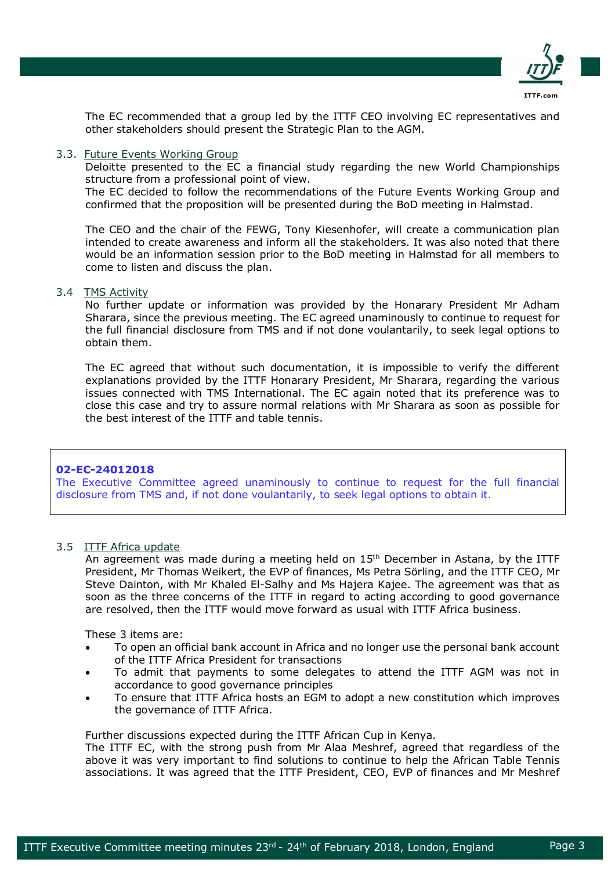

The EC recommended that a group led by the ITTF CEO involving EC representatives and other stakeholders should present the Strategic Plan to the AGM.

## 3.3. Future Events Working Group

Deloitte presented to the EC a financial study regarding the new World Championships structure from a professional point of view.

The EC decided to follow the recommendations of the Future Events Working Group and confirmed that the proposition will be presented during the BoD meeting in Halmstad.

The CEO and the chair of the FEWG, Tony Kiesenhofer, will create a communication plan intended to create awareness and inform all the stakeholders. It was also noted that there would be an information session prior to the BoD meeting in Halmstad for all members to come to listen and discuss the plan.

#### 3.4 TMS Activity

No further update or information was provided by the Honarary President Mr Adham Sharara, since the previous meeting. The EC agreed unaminously to continue to request for the full financial disclosure from TMS and if not done voulantarily, to seek legal options to obtain them.

The EC agreed that without such documentation, it is impossible to verify the different explanations provided by the ITTF Honarary President, Mr Sharara, regarding the various issues connected with TMS International. The EC again noted that its preference was to close this case and try to assure normal relations with Mr Sharara as soon as possible for the best interest of the ITTF and table tennis.

## **02-EC-24012018**

The Executive Committee agreed unaminously to continue to request for the full financial disclosure from TMS and, if not done voulantarily, to seek legal options to obtain it.

## 3.5 ITTF Africa update

An agreement was made during a meeting held on 15<sup>th</sup> December in Astana, by the ITTF President, Mr Thomas Weikert, the EVP of finances, Ms Petra Sörling, and the ITTF CEO, Mr Steve Dainton, with Mr Khaled El-Salhy and Ms Hajera Kajee. The agreement was that as soon as the three concerns of the ITTF in regard to acting according to good governance are resolved, then the ITTF would move forward as usual with ITTF Africa business.

These 3 items are:

- To open an official bank account in Africa and no longer use the personal bank account of the ITTF Africa President for transactions
- To admit that payments to some delegates to attend the ITTF AGM was not in accordance to good governance principles
- To ensure that ITTF Africa hosts an EGM to adopt a new constitution which improves the governance of ITTF Africa.

Further discussions expected during the ITTF African Cup in Kenya.

The ITTF EC, with the strong push from Mr Alaa Meshref, agreed that regardless of the above it was very important to find solutions to continue to help the African Table Tennis associations. It was agreed that the ITTF President, CEO, EVP of finances and Mr Meshref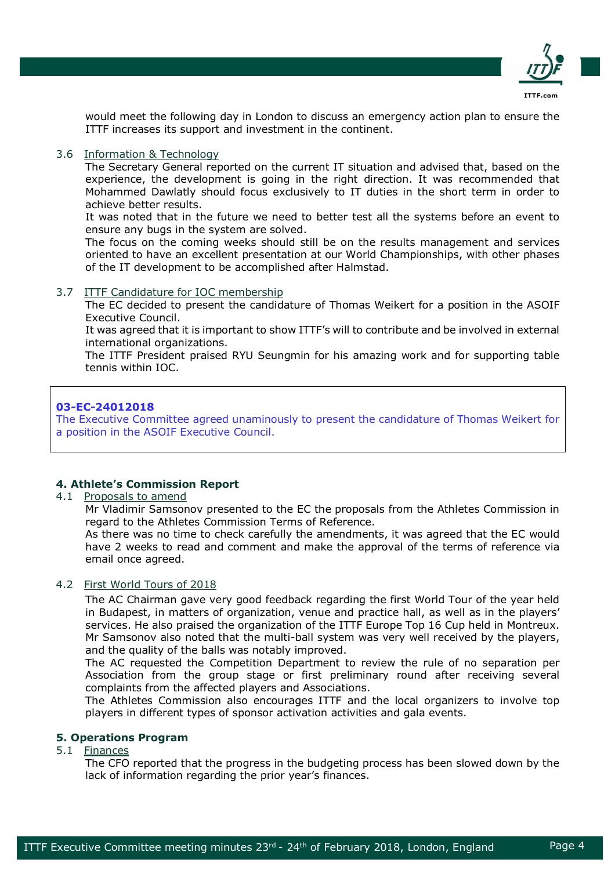

would meet the following day in London to discuss an emergency action plan to ensure the ITTF increases its support and investment in the continent.

## 3.6 Information & Technology

The Secretary General reported on the current IT situation and advised that, based on the experience, the development is going in the right direction. It was recommended that Mohammed Dawlatly should focus exclusively to IT duties in the short term in order to achieve better results.

It was noted that in the future we need to better test all the systems before an event to ensure any bugs in the system are solved.

The focus on the coming weeks should still be on the results management and services oriented to have an excellent presentation at our World Championships, with other phases of the IT development to be accomplished after Halmstad.

## 3.7 ITTF Candidature for IOC membership

The EC decided to present the candidature of Thomas Weikert for a position in the ASOIF Executive Council.

It was agreed that it is important to show ITTF's will to contribute and be involved in external international organizations.

The ITTF President praised RYU Seungmin for his amazing work and for supporting table tennis within IOC.

## **03-EC-24012018**

The Executive Committee agreed unaminously to present the candidature of Thomas Weikert for a position in the ASOIF Executive Council.

## **4. Athlete's Commission Report**

#### 4.1 Proposals to amend

Mr Vladimir Samsonov presented to the EC the proposals from the Athletes Commission in regard to the Athletes Commission Terms of Reference.

As there was no time to check carefully the amendments, it was agreed that the EC would have 2 weeks to read and comment and make the approval of the terms of reference via email once agreed.

## 4.2 First World Tours of 2018

The AC Chairman gave very good feedback regarding the first World Tour of the year held in Budapest, in matters of organization, venue and practice hall, as well as in the players' services. He also praised the organization of the ITTF Europe Top 16 Cup held in Montreux. Mr Samsonov also noted that the multi-ball system was very well received by the players, and the quality of the balls was notably improved.

The AC requested the Competition Department to review the rule of no separation per Association from the group stage or first preliminary round after receiving several complaints from the affected players and Associations.

The Athletes Commission also encourages ITTF and the local organizers to involve top players in different types of sponsor activation activities and gala events.

#### **5. Operations Program**

## 5.1 Finances

The CFO reported that the progress in the budgeting process has been slowed down by the lack of information regarding the prior year's finances.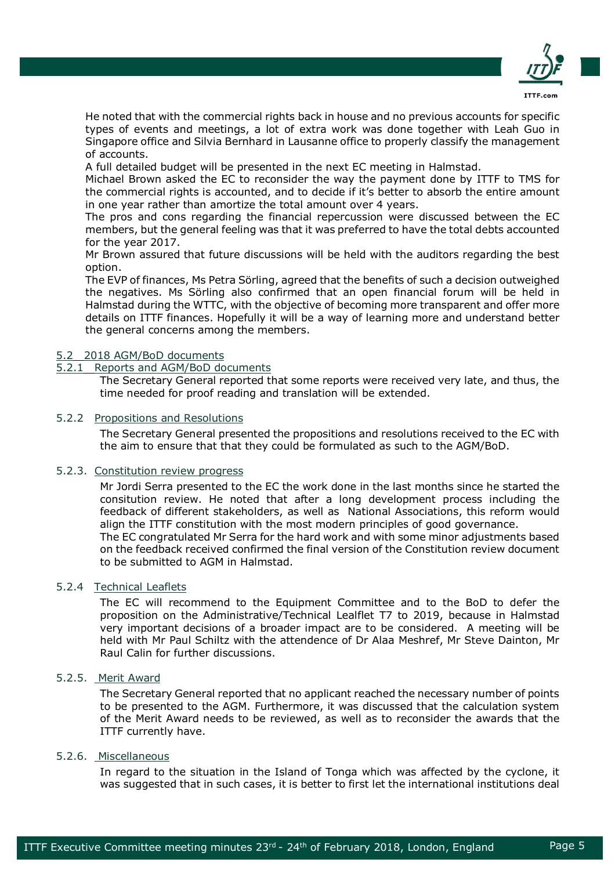

He noted that with the commercial rights back in house and no previous accounts for specific types of events and meetings, a lot of extra work was done together with Leah Guo in Singapore office and Silvia Bernhard in Lausanne office to properly classify the management of accounts.

A full detailed budget will be presented in the next EC meeting in Halmstad.

Michael Brown asked the EC to reconsider the way the payment done by ITTF to TMS for the commercial rights is accounted, and to decide if it's better to absorb the entire amount in one year rather than amortize the total amount over 4 years.

The pros and cons regarding the financial repercussion were discussed between the EC members, but the general feeling was that it was preferred to have the total debts accounted for the year 2017.

Mr Brown assured that future discussions will be held with the auditors regarding the best option.

The EVP of finances, Ms Petra Sörling, agreed that the benefits of such a decision outweighed the negatives. Ms Sörling also confirmed that an open financial forum will be held in Halmstad during the WTTC, with the objective of becoming more transparent and offer more details on ITTF finances. Hopefully it will be a way of learning more and understand better the general concerns among the members.

## 5.2 2018 AGM/BoD documents

#### 5.2.1 Reports and AGM/BoD documents

The Secretary General reported that some reports were received very late, and thus, the time needed for proof reading and translation will be extended.

#### 5.2.2 Propositions and Resolutions

The Secretary General presented the propositions and resolutions received to the EC with the aim to ensure that that they could be formulated as such to the AGM/BoD.

## 5.2.3. Constitution review progress

Mr Jordi Serra presented to the EC the work done in the last months since he started the consitution review. He noted that after a long development process including the feedback of different stakeholders, as well as National Associations, this reform would align the ITTF constitution with the most modern principles of good governance. The EC congratulated Mr Serra for the hard work and with some minor adjustments based

on the feedback received confirmed the final version of the Constitution review document to be submitted to AGM in Halmstad.

## 5.2.4 Technical Leaflets

The EC will recommend to the Equipment Committee and to the BoD to defer the proposition on the Administrative/Technical Lealflet T7 to 2019, because in Halmstad very important decisions of a broader impact are to be considered. A meeting will be held with Mr Paul Schiltz with the attendence of Dr Alaa Meshref, Mr Steve Dainton, Mr Raul Calin for further discussions.

## 5.2.5. Merit Award

The Secretary General reported that no applicant reached the necessary number of points to be presented to the AGM. Furthermore, it was discussed that the calculation system of the Merit Award needs to be reviewed, as well as to reconsider the awards that the ITTF currently have.

#### 5.2.6. Miscellaneous

In regard to the situation in the Island of Tonga which was affected by the cyclone, it was suggested that in such cases, it is better to first let the international institutions deal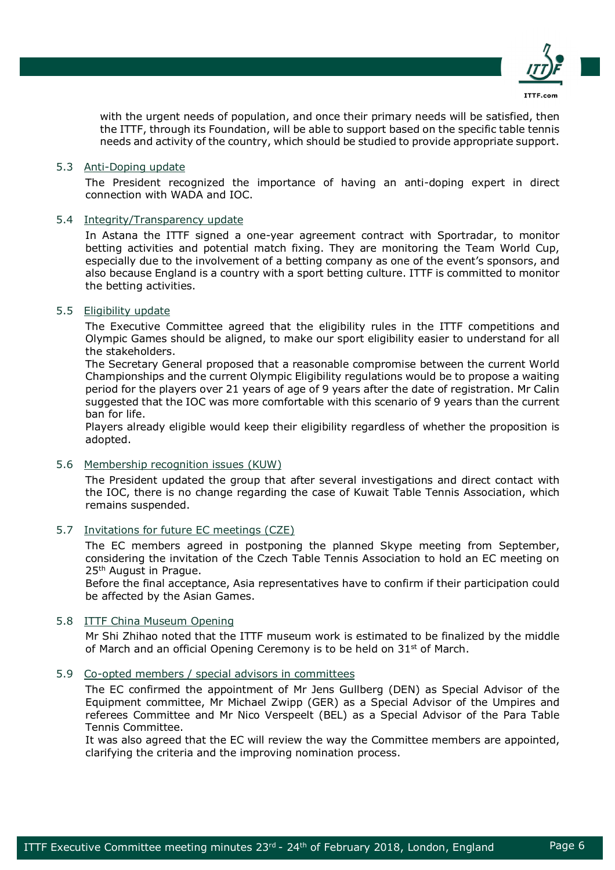

with the urgent needs of population, and once their primary needs will be satisfied, then the ITTF, through its Foundation, will be able to support based on the specific table tennis needs and activity of the country, which should be studied to provide appropriate support.

#### 5.3 Anti-Doping update

The President recognized the importance of having an anti-doping expert in direct connection with WADA and IOC.

#### 5.4 Integrity/Transparency update

In Astana the ITTF signed a one-year agreement contract with Sportradar, to monitor betting activities and potential match fixing. They are monitoring the Team World Cup, especially due to the involvement of a betting company as one of the event's sponsors, and also because England is a country with a sport betting culture. ITTF is committed to monitor the betting activities.

## 5.5 Eligibility update

The Executive Committee agreed that the eligibility rules in the ITTF competitions and Olympic Games should be aligned, to make our sport eligibility easier to understand for all the stakeholders.

The Secretary General proposed that a reasonable compromise between the current World Championships and the current Olympic Eligibility regulations would be to propose a waiting period for the players over 21 years of age of 9 years after the date of registration. Mr Calin suggested that the IOC was more comfortable with this scenario of 9 years than the current ban for life.

Players already eligible would keep their eligibility regardless of whether the proposition is adopted.

#### 5.6 Membership recognition issues (KUW)

The President updated the group that after several investigations and direct contact with the IOC, there is no change regarding the case of Kuwait Table Tennis Association, which remains suspended.

#### 5.7 Invitations for future EC meetings (CZE)

The EC members agreed in postponing the planned Skype meeting from September, considering the invitation of the Czech Table Tennis Association to hold an EC meeting on 25th August in Prague.

Before the final acceptance, Asia representatives have to confirm if their participation could be affected by the Asian Games.

## 5.8 ITTF China Museum Opening

Mr Shi Zhihao noted that the ITTF museum work is estimated to be finalized by the middle of March and an official Opening Ceremony is to be held on  $31<sup>st</sup>$  of March.

5.9 Co-opted members / special advisors in committees

The EC confirmed the appointment of Mr Jens Gullberg (DEN) as Special Advisor of the Equipment committee, Mr Michael Zwipp (GER) as a Special Advisor of the Umpires and referees Committee and Mr Nico Verspeelt (BEL) as a Special Advisor of the Para Table Tennis Committee.

It was also agreed that the EC will review the way the Committee members are appointed, clarifying the criteria and the improving nomination process.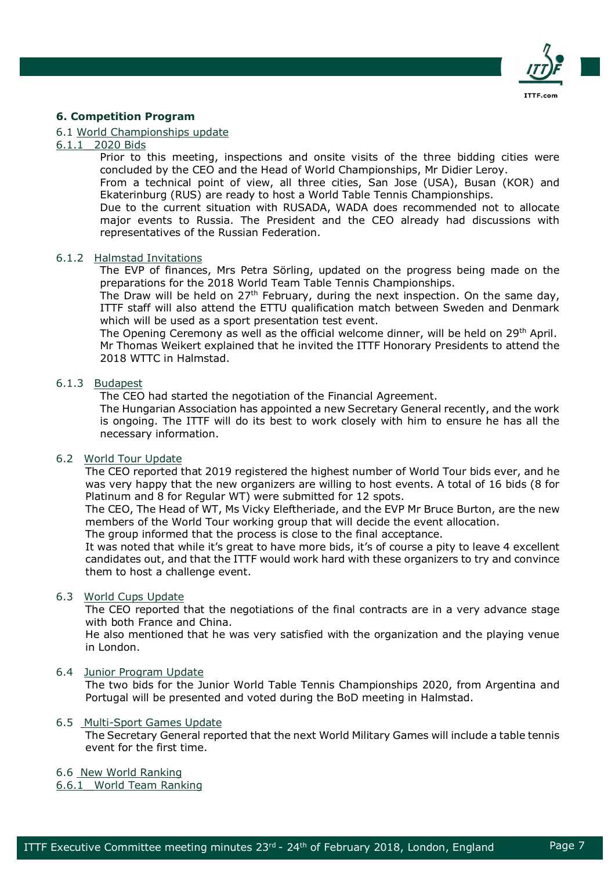

## **6. Competition Program**

## 6.1 World Championships update

#### 6.1.1 2020 Bids

Prior to this meeting, inspections and onsite visits of the three bidding cities were concluded by the CEO and the Head of World Championships, Mr Didier Leroy.

From a technical point of view, all three cities, San Jose (USA), Busan (KOR) and Ekaterinburg (RUS) are ready to host a World Table Tennis Championships.

Due to the current situation with RUSADA, WADA does recommended not to allocate major events to Russia. The President and the CEO already had discussions with representatives of the Russian Federation.

#### 6.1.2 Halmstad Invitations

The EVP of finances, Mrs Petra Sörling, updated on the progress being made on the preparations for the 2018 World Team Table Tennis Championships.

The Draw will be held on 27<sup>th</sup> February, during the next inspection. On the same day, ITTF staff will also attend the ETTU qualification match between Sweden and Denmark which will be used as a sport presentation test event.

The Opening Ceremony as well as the official welcome dinner, will be held on 29<sup>th</sup> April. Mr Thomas Weikert explained that he invited the ITTF Honorary Presidents to attend the 2018 WTTC in Halmstad.

## 6.1.3 Budapest

The CEO had started the negotiation of the Financial Agreement.

The Hungarian Association has appointed a new Secretary General recently, and the work is ongoing. The ITTF will do its best to work closely with him to ensure he has all the necessary information.

## 6.2 World Tour Update

The CEO reported that 2019 registered the highest number of World Tour bids ever, and he was very happy that the new organizers are willing to host events. A total of 16 bids (8 for Platinum and 8 for Regular WT) were submitted for 12 spots.

The CEO, The Head of WT, Ms Vicky Eleftheriade, and the EVP Mr Bruce Burton, are the new members of the World Tour working group that will decide the event allocation.

The group informed that the process is close to the final acceptance.

It was noted that while it's great to have more bids, it's of course a pity to leave 4 excellent candidates out, and that the ITTF would work hard with these organizers to try and convince them to host a challenge event.

#### 6.3 World Cups Update

The CEO reported that the negotiations of the final contracts are in a very advance stage with both France and China.

He also mentioned that he was very satisfied with the organization and the playing venue in London.

#### 6.4 Junior Program Update

The two bids for the Junior World Table Tennis Championships 2020, from Argentina and Portugal will be presented and voted during the BoD meeting in Halmstad.

#### 6.5 Multi-Sport Games Update

The Secretary General reported that the next World Military Games will include a table tennis event for the first time.

#### 6.6 New World Ranking

6.6.1 World Team Ranking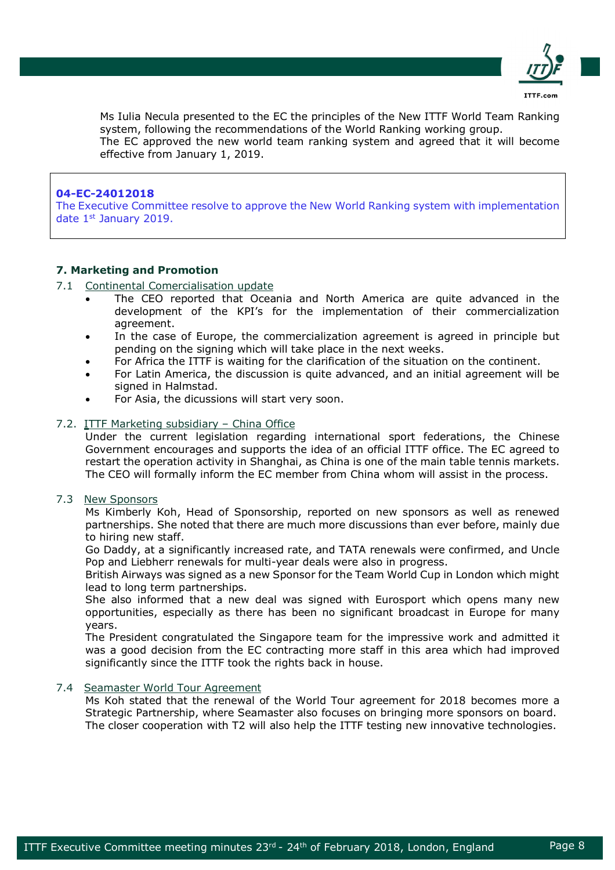

Ms Iulia Necula presented to the EC the principles of the New ITTF World Team Ranking system, following the recommendations of the World Ranking working group. The EC approved the new world team ranking system and agreed that it will become effective from January 1, 2019.

## **04-EC-24012018**

The Executive Committee resolve to approve the New World Ranking system with implementation date 1st January 2019.

## **7. Marketing and Promotion**

#### 7.1 Continental Comercialisation update

- The CEO reported that Oceania and North America are quite advanced in the development of the KPI's for the implementation of their commercialization agreement.
- In the case of Europe, the commercialization agreement is agreed in principle but pending on the signing which will take place in the next weeks.
- For Africa the ITTF is waiting for the clarification of the situation on the continent.
- For Latin America, the discussion is quite advanced, and an initial agreement will be signed in Halmstad.
- For Asia, the dicussions will start very soon.

#### 7.2. ITTF Marketing subsidiary - China Office

Under the current legislation regarding international sport federations, the Chinese Government encourages and supports the idea of an official ITTF office. The EC agreed to restart the operation activity in Shanghai, as China is one of the main table tennis markets. The CEO will formally inform the EC member from China whom will assist in the process.

## 7.3 New Sponsors

Ms Kimberly Koh, Head of Sponsorship, reported on new sponsors as well as renewed partnerships. She noted that there are much more discussions than ever before, mainly due to hiring new staff.

Go Daddy, at a significantly increased rate, and TATA renewals were confirmed, and Uncle Pop and Liebherr renewals for multi-year deals were also in progress.

British Airways was signed as a new Sponsor for the Team World Cup in London which might lead to long term partnerships.

She also informed that a new deal was signed with Eurosport which opens many new opportunities, especially as there has been no significant broadcast in Europe for many years.

The President congratulated the Singapore team for the impressive work and admitted it was a good decision from the EC contracting more staff in this area which had improved significantly since the ITTF took the rights back in house.

#### 7.4 Seamaster World Tour Agreement

Ms Koh stated that the renewal of the World Tour agreement for 2018 becomes more a Strategic Partnership, where Seamaster also focuses on bringing more sponsors on board. The closer cooperation with T2 will also help the ITTF testing new innovative technologies.